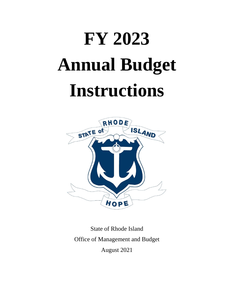# **FY 2023 Annual Budget Instructions**



State of Rhode Island Office of Management and Budget August 2021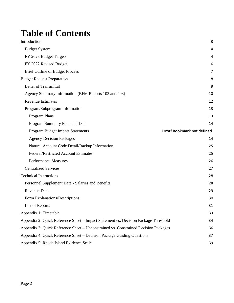# **Table of Contents**

| Introduction                                                                        | 3                                   |
|-------------------------------------------------------------------------------------|-------------------------------------|
| <b>Budget System</b>                                                                | 4                                   |
| FY 2023 Budget Targets                                                              | 4                                   |
| FY 2022 Revised Budget                                                              | 6                                   |
| <b>Brief Outline of Budget Process</b>                                              | 7                                   |
| <b>Budget Request Preparation</b>                                                   | 8                                   |
| Letter of Transmittal                                                               | 9                                   |
| Agency Summary Information (BFM Reports 103 and 403)                                | 10                                  |
| <b>Revenue Estimates</b>                                                            | 12                                  |
| Program/Subprogram Information                                                      | 13                                  |
| Program Plans                                                                       | 13                                  |
| Program Summary Financial Data                                                      | 14                                  |
| Program Budget Impact Statements                                                    | <b>Error! Bookmark not defined.</b> |
| <b>Agency Decision Packages</b>                                                     | 14                                  |
| Natural Account Code Detail/Backup Information                                      | 25                                  |
| Federal/Restricted Account Estimates                                                | 25                                  |
| <b>Performance Measures</b>                                                         | 26                                  |
| <b>Centralized Services</b>                                                         | 27                                  |
| <b>Technical Instructions</b>                                                       | 28                                  |
| Personnel Supplement Data - Salaries and Benefits                                   | 28                                  |
| Revenue Data                                                                        | 29                                  |
| Form Explanations/Descriptions                                                      | 30                                  |
| List of Reports                                                                     | 31                                  |
| Appendix 1: Timetable                                                               | 33                                  |
| Appendix 2: Quick Reference Sheet – Impact Statement vs. Decision Package Threshold | 34                                  |
| Appendix 3: Quick Reference Sheet – Unconstrained vs. Constrained Decision Packages | 36                                  |
| Appendix 4: Quick Reference Sheet – Decision Package Guiding Questions              | 37                                  |
| Appendix 5: Rhode Island Evidence Scale                                             | 39                                  |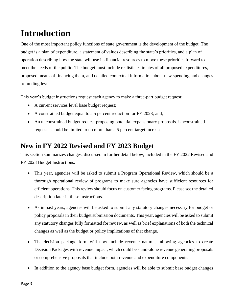# <span id="page-2-0"></span>**Introduction**

One of the most important policy functions of state government is the development of the budget. The budget is a plan of expenditure, a statement of values describing the state's priorities, and a plan of operation describing how the state will use its financial resources to move these priorities forward to meet the needs of the public. The budget must include realistic estimates of all proposed expenditures, proposed means of financing them, and detailed contextual information about new spending and changes to funding levels.

This year's budget instructions request each agency to make a three-part budget request:

- A current services level base budget request;
- A constrained budget equal to a 5 percent reduction for FY 2023; and,
- An unconstrained budget request proposing potential expansionary proposals. Unconstrained requests should be limited to no more than a 5 percent target increase.

# **New in FY 2022 Revised and FY 2023 Budget**

This section summarizes changes, discussed in further detail below, included in the FY 2022 Revised and FY 2023 Budget Instructions.

- This year, agencies will be asked to submit a Program Operational Review, which should be a thorough operational review of programs to make sure agencies have sufficient resources for efficient operations. This review should focus on customer facing programs. Please see the detailed description later in these instructions.
- As in past years, agencies will be asked to submit any statutory changes necessary for budget or policy proposals in their budget submission documents. This year, agencies will be asked to submit any statutory changes fully formatted for review, as well as brief explanations of both the technical changes as well as the budget or policy implications of that change.
- The decision package form will now include revenue naturals, allowing agencies to create Decision Packages with revenue impact, which could be stand-alone revenue generating proposals or comprehensive proposals that include both revenue and expenditure components.
- In addition to the agency base budget form, agencies will be able to submit base budget changes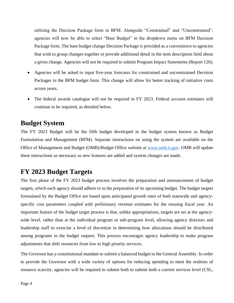utilizing the Decision Package form in BFM. Alongside "Constrained" and "Unconstrained", agencies will now be able to select "Base Budget" in the dropdown menu on BFM Decision Package form. The base budget change Decision Package is provided as a convenience to agencies that wish to group changes together or provide additional detail in the item description field about a given change. Agencies will not be required to submit Program Impact Statements (Report 120).

- Agencies will be asked to input five-year forecasts for constrained and unconstrained Decision Packages in the BFM budget form. This change will allow for better tracking of initiative costs across years.
- The federal awards catalogue will not be required in FY 2023. Federal account estimates will continue to be required, as detailed below.

### <span id="page-3-0"></span>**Budget System**

The FY 2023 Budget will be the fifth budget developed in the budget system known as Budget Formulation and Management (BFM). Separate instructions on using the system are available on the Office of Management and Budget (OMB)/Budget Office website at [www.omb.ri.gov.](http://www.omb.ri.gov/) OMB will update these instructions as necessary as new features are added and system changes are made.

## <span id="page-3-1"></span>**FY 2023 Budget Targets**

The first phase of the FY 2023 budget process involves the preparation and announcement of budget targets, which each agency should adhere to in the preparation of its upcoming budget. The budget targets formulated by the Budget Office are based upon anticipated growth rates of both statewide and agencyspecific cost parameters coupled with preliminary revenue estimates for the ensuing fiscal year. An important feature of the budget target process is that, unlike appropriations, targets are set at the agencywide level, rather than at the individual program or sub-program level, allowing agency directors and leadership staff to exercise a level of discretion in determining how allocations should be distributed among programs in the budget request. This process encourages agency leadership to make program adjustments that shift resources from low to high priority services.

The Governor has a constitutional mandate to submit a balanced budget to the General Assembly. In order to provide the Governor with a wide variety of options for reducing spending to meet the realities of resource scarcity, agencies will be required to submit both to submit both a current services level (CSL,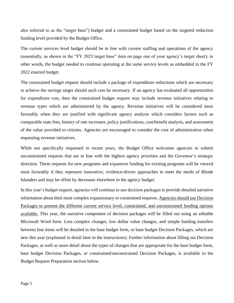also referred to as the "target base") budget and a constrained budget based on the targeted reduction funding level provided by the Budget Office.

The current services level budget should be in line with current staffing and operations of the agency (essentially, as shown in the "FY 2023 target base" item on page one of your agency's target sheet); in other words, the budget needed to continue operating at the same service levels as embedded in the FY 2022 enacted budget.

The constrained budget request should include a package of expenditure reductions which are necessary to achieve the savings target should such cuts be necessary. If an agency has evaluated all opportunities for expenditure cuts, then the constrained budget request may include revenue initiatives relating to revenue types which are administered by the agency. Revenue initiatives will be considered most favorably when they are justified with significant agency analysis which considers factors such as comparable state fees, history of rate increases, policy justifications, cost/benefit analysis, and assessment of the value provided to citizens. Agencies are encouraged to consider the cost of administration when requesting revenue initiatives.

While not specifically requested in recent years, the Budget Office welcomes agencies to submit unconstrained requests that are in line with the highest agency priorities and the Governor's strategic direction. These requests for new programs and expansive funding for existing programs will be viewed most favorably if they represent innovative, evidence-driven approaches to meet the needs of Rhode Islanders and may be offset by decreases elsewhere in the agency budget.

In this year's budget request, agencies will continue to use decision packages to provide detailed narrative information about their most complex expansionary or constrained requests. Agencies should use Decision Packages to present the different current service level, constrained, and unconstrained funding options available. This year, the narrative component of decision packages will be filled out using an editable Microsoft Word form. Less complex changes, low dollar value changes, and simple funding transfers between line items will be detailed in the base budget form, or base budget Decision Packages, which are new this year (explained in detail later in the instructions). Further information about filling out Decision Packages, as well as more detail about the types of changes that are appropriate for the base budget form, base budget Decision Packages, or constrained/unconstrained Decision Packages, is available in the Budget Request Preparation section below.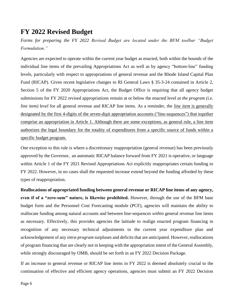### <span id="page-5-0"></span>**FY 2022 Revised Budget**

*Forms for preparing the FY 2022 Revised Budget are located under the BFM toolbar "Budget Formulation."* 

Agencies are expected to operate within the current year budget as enacted, both within the bounds of the individual line items of the prevailing Appropriations Act as well as by agency "bottom-line" funding levels, particularly with respect to appropriations of general revenue and the Rhode Island Capital Plan Fund (RICAP). Given recent legislative changes to RI General Laws § 35-3-24 contained in Article 2, Section 5 of the FY 2020 Appropriations Act, the Budget Office is requiring that all agency budget submissions for FY 2022 revised appropriations remain at or below the enacted level *at the program (i.e. line item) level* for all general revenue and RICAP line items. As a reminder, the *line item* is generally designated by the first 4-digits of the seven-digit appropriation accounts ("line-sequences") that together comprise an appropriation in Article 1. Although there are some exceptions, as general rule, a line item authorizes the legal boundary for the totality of expenditures from a specific source of funds within a specific budget program.

One exception to this rule is where a discretionary reappropriation (general revenue) has been previously approved by the Governor, an automatic RICAP balance forward from FY 2021 is operative, or language within Article 1 of the FY 2021 Revised Appropriations Act explicitly reappropriates certain funding to FY 2022. However, in no cases shall the requested increase extend beyond the funding afforded by these types of reappropriation.

**Reallocations of appropriated funding between general revenue or RICAP line items of any agency, even if of a "zero-sum" nature, is likewise prohibited.** However, through the use of the BFM base budget form and the Personnel Cost Forecasting module (PCF), agencies will maintain the ability to reallocate funding among natural accounts and between line-sequences *within* general revenue line items as necessary. Effectively, this provides agencies the latitude to realign enacted program financing in recognition of any necessary technical adjustments to the current year expenditure plan and acknowledgement of any *intra-program* surpluses and deficits that are anticipated. However, reallocations of program financing that are clearly not in keeping with the appropriation intent of the General Assembly, while strongly discouraged by OMB, should be set forth in an FY 2022 Decision Package.

If an increase to general revenue or RICAP line items in FY 2022 is deemed absolutely crucial to the continuation of effective and efficient agency operations, agencies must submit an FY 2022 Decision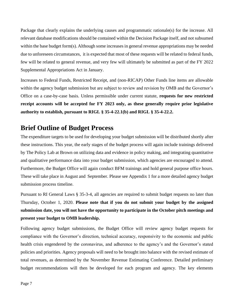Package that clearly explains the underlying causes and programmatic rationale(s) for the increase. All relevant database modifications should be contained within the Decision Package itself, and not subsumed within the base budget form(s). Although some increases in general revenue appropriations may be needed due to unforeseen circumstances, it is expected that most of these requests will be related to federal funds, few will be related to general revenue, and very few will ultimately be submitted as part of the FY 2022 Supplemental Appropriations Act in January.

Increases to Federal Funds, Restricted Receipt, and (non-RICAP) Other Funds line items are allowable within the agency budget submission but are subject to review and revision by OMB and the Governor's Office on a case-by-case basis. Unless permissible under current statute, **requests for new restricted receipt accounts will be accepted for FY 2023 only, as these generally require prior legislative authority to establish, pursuant to RIGL § 35-4-22.1(b) and RIGL § 35-4-22.2.**

### <span id="page-6-0"></span>**Brief Outline of Budget Process**

The expenditure targets to be used for developing your budget submission will be distributed shortly after these instructions. This year, the early stages of the budget process will again include trainings delivered by The Policy Lab at Brown on utilizing data and evidence in policy making, and integrating quantitative and qualitative performance data into your budget submission, which agencies are encouraged to attend. Furthermore, the Budget Office will again conduct BFM trainings and hold general purpose office hours. These will take place in August and September. Please see Appendix 1 for a more detailed agency budget submission process timeline.

Pursuant to RI General Laws § 35-3-4, all agencies are required to submit budget requests no later than Thursday, October 1, 2020. **Please note that if you do not submit your budget by the assigned submission date, you will not have the opportunity to participate in the October pitch meetings and present your budget to OMB leadership.**

Following agency budget submissions, the Budget Office will review agency budget requests for compliance with the Governor's direction, technical accuracy, responsivity to the economic and public health crisis engendered by the coronavirus, and adherence to the agency's and the Governor's stated policies and priorities. Agency proposals will need to be brought into balance with the revised estimate of total revenues, as determined by the November Revenue Estimating Conference. Detailed preliminary budget recommendations will then be developed for each program and agency. The key elements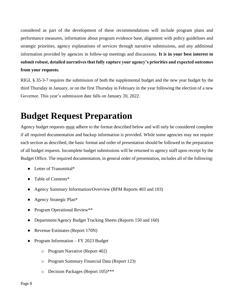considered as part of the development of these recommendations will include program plans and performance measures, information about program evidence base, alignment with policy guidelines and strategic priorities, agency explanations of services through narrative submissions, and any additional information provided by agencies in follow-up meetings and discussions. **It is in your best interest to submit robust, detailed narratives that fully capture your agency's priorities and expected outcomes from your requests.** 

RIGL § 35-3-7 requires the submission of both the supplemental budget and the new year budget by the third Thursday in January, or on the first Thursday in February in the year following the election of a new Governor. This year's submission date falls on January 20, 2022.

# <span id="page-7-0"></span>**Budget Request Preparation**

Agency budget requests must adhere to the format described below and will only be considered complete if all required documentation and backup information is provided. While some agencies may not require each section as described, the basic format and order of presentation should be followed in the preparation of all budget requests. Incomplete budget submissions will be returned to agency staff upon receipt by the Budget Office. The required documentation, in general order of presentation, includes all of the following:

- Letter of Transmittal\*
- Table of Contents\*
- Agency Summary Information/Overview (BFM Reports 403 and 103)
- Agency Strategic Plan\*
- Program Operational Review\*\*
- Department/Agency Budget Tracking Sheets (Reports 150 and 160)
- Revenue Estimates (Report 170N)
- Program Information FY 2023 Budget
	- o Program Narrative (Report 402)
	- o Program Summary Financial Data (Report 123)
	- o Decision Packages (Report 105)\*\*\*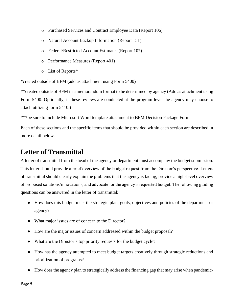- o Purchased Services and Contract Employee Data (Report 106)
- o Natural Account Backup Information (Report 151)
- o Federal/Restricted Account Estimates (Report 107)
- o Performance Measures (Report 401)
- o List of Reports\*

\*created outside of BFM (add as attachment using Form 5400)

\*\*created outside of BFM in a memorandum format to be determined by agency (Add as attachment using Form 5400. Optionally, if these reviews are conducted at the program level the agency may choose to attach utilizing form 5410.)

\*\*\*be sure to include Microsoft Word template attachment to BFM Decision Package Form

Each of these sections and the specific items that should be provided within each section are described in more detail below.

### <span id="page-8-0"></span>**Letter of Transmittal**

A letter of transmittal from the head of the agency or department must accompany the budget submission. This letter should provide a brief overview of the budget request from the Director's perspective. Letters of transmittal should clearly explain the problems that the agency is facing, provide a high-level overview of proposed solutions/innovations, and advocate for the agency's requested budget. The following guiding questions can be answered in the letter of transmittal:

- How does this budget meet the strategic plan, goals, objectives and policies of the department or agency?
- What major issues are of concern to the Director?
- How are the major issues of concern addressed within the budget proposal?
- What are the Director's top priority requests for the budget cycle?
- How has the agency attempted to meet budget targets creatively through strategic reductions and prioritization of programs?
- How does the agency plan to strategically address the financing gap that may arise when pandemic-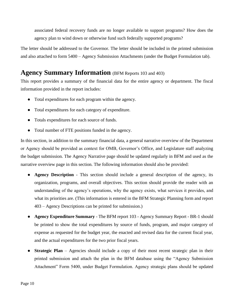associated federal recovery funds are no longer available to support programs? How does the agency plan to wind down or otherwise fund such federally supported programs?

The letter should be addressed to the Governor. The letter should be included in the printed submission and also attached to form 5400 – Agency Submission Attachments (under the Budget Formulation tab).

### <span id="page-9-0"></span>**Agency Summary Information** (BFM Reports 103 and 403)

This report provides a summary of the financial data for the entire agency or department. The fiscal information provided in the report includes:

- Total expenditures for each program within the agency.
- Total expenditures for each category of expenditure.
- Totals expenditures for each source of funds.
- Total number of FTE positions funded in the agency.

In this section, in addition to the summary financial data, a general narrative overview of the Department or Agency should be provided as context for OMB, Governor's Office, and Legislature staff analyzing the budget submission. The Agency Narrative page should be updated regularly in BFM and used as the narrative overview page in this section. The following information should also be provided:

- **Agency Description** This section should include a general description of the agency, its organization, programs, and overall objectives. This section should provide the reader with an understanding of the agency's operations, why the agency exists, what services it provides, and what its priorities are. (This information is entered in the BFM Strategic Planning form and report 403 – Agency Descriptions can be printed for submission.)
- **Agency Expenditure Summary** The BFM report 103 Agency Summary Report BR-1 should be printed to show the total expenditures by source of funds, program, and major category of expense as requested for the budget year, the enacted and revised data for the current fiscal year, and the actual expenditures for the two prior fiscal years.
- **Strategic Plan** Agencies should include a copy of their most recent strategic plan in their printed submission and attach the plan in the BFM database using the "Agency Submission Attachment" Form 5400, under Budget Formulation. Agency strategic plans should be updated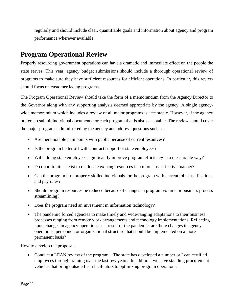regularly and should include clear, quantifiable goals and information about agency and program performance wherever available.

# **Program Operational Review**

Properly resourcing government operations can have a dramatic and immediate effect on the people the state serves. This year, agency budget submissions should include a thorough operational review of programs to make sure they have sufficient resources for efficient operations. In particular, this review should focus on customer facing programs.

The Program Operational Review should take the form of a memorandum from the Agency Director to the Governor along with any supporting analysis deemed appropriate by the agency. A single agencywide memorandum which includes a review of all major programs is acceptable. However, if the agency prefers to submit individual documents for each program that is also acceptable. The review should cover the major programs administered by the agency and address questions such as:

- Are there notable pain points with public because of current resources?
- Is the program better off with contract support or state employees?
- Will adding state employees significantly improve program efficiency in a measurable way?
- Do opportunities exist to reallocate existing resources in a more cost-effective manner?
- Can the program hire properly skilled individuals for the program with current job classifications and pay rates?
- Should program resources be reduced because of changes in program volume or business process streamlining?
- Does the program need an investment in information technology?
- The pandemic forced agencies to make timely and wide-ranging adaptations to their business processes ranging from remote work arrangements and technology implementations. Reflecting upon changes in agency operations as a result of the pandemic, are there changes in agency operations, personnel, or organizational structure that should be implemented on a more permanent basis?

How to develop the proposals:

• Conduct a LEAN review of the program – The state has developed a number or Lean certified employees through training over the last few years. In addition, we have standing procurement vehicles that bring outside Lean facilitators to optimizing program operations.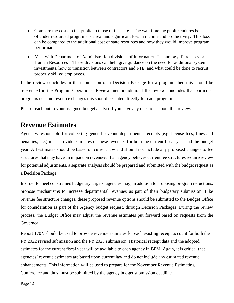- Compare the costs to the public to those of the state The wait time the public endures because of under resourced programs is a real and significant loss in income and productivity. This loss can be compared to the additional cost of state resources and how they would improve program performance.
- Meet with Department of Administration divisions of Information Technology, Purchases or Human Resources – These divisions can help give guidance on the need for additional system investments, how to transition between contractors and FTE, and what could be done to recruit properly skilled employees.

If the review concludes in the submission of a Decision Package for a program then this should be referenced in the Program Operational Review memorandum. If the review concludes that particular programs need no resource changes this should be stated directly for each program.

Please reach out to your assigned budget analyst if you have any questions about this review.

## <span id="page-11-0"></span>**Revenue Estimates**

Agencies responsible for collecting general revenue departmental receipts (e.g. license fees, fines and penalties, etc.) must provide estimates of these revenues for both the current fiscal year and the budget year. All estimates should be based on current law and should not include any proposed changes to fee structures that may have an impact on revenues. If an agency believes current fee structures require review for potential adjustments, a separate analysis should be prepared and submitted with the budget request as a Decision Package.

In order to meet constrained budgetary targets, agencies may, in addition to proposing program reductions, propose mechanisms to increase departmental revenues as part of their budgetary submission. Like revenue fee structure changes, these proposed revenue options should be submitted to the Budget Office for consideration as part of the Agency budget request, through Decision Packages. During the review process, the Budget Office may adjust the revenue estimates put forward based on requests from the Governor.

Report 170N should be used to provide revenue estimates for each existing receipt account for both the FY 2022 revised submission and the FY 2023 submission. Historical receipt data and the adopted estimates for the current fiscal year will be available to each agency in BFM. Again, it is critical that agencies' revenue estimates are based upon current law and do not include any estimated revenue enhancements. This information will be used to prepare for the November Revenue Estimating Conference and thus must be submitted by the agency budget submission deadline.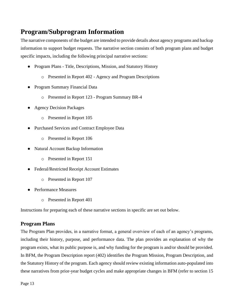# <span id="page-12-0"></span>**Program/Subprogram Information**

The narrative components of the budget are intended to provide details about agency programs and backup information to support budget requests. The narrative section consists of both program plans and budget specific impacts, including the following principal narrative sections:

- Program Plans Title, Descriptions, Mission, and Statutory History
	- o Presented in Report 402 Agency and Program Descriptions
- Program Summary Financial Data
	- o Presented in Report 123 Program Summary BR-4
- Agency Decision Packages
	- o Presented in Report 105
- Purchased Services and Contract Employee Data
	- o Presented in Report 106
- Natural Account Backup Information
	- o Presented in Report 151
- Federal/Restricted Receipt Account Estimates
	- o Presented in Report 107
- Performance Measures
	- o Presented in Report 401

Instructions for preparing each of these narrative sections in specific are set out below.

#### <span id="page-12-1"></span>**Program Plans**

The Program Plan provides, in a narrative format, a general overview of each of an agency's programs, including their history, purpose, and performance data. The plan provides an explanation of why the program exists, what its public purpose is, and why funding for the program is and/or should be provided. In BFM, the Program Description report (402) identifies the Program Mission, Program Description, and the Statutory History of the program. Each agency should review existing information auto-populated into these narratives from prior-year budget cycles and make appropriate changes in BFM (refer to section 15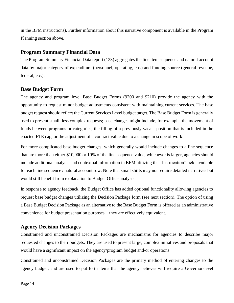in the BFM instructions). Further information about this narrative component is available in the Program Planning section above.

#### <span id="page-13-0"></span>**Program Summary Financial Data**

The Program Summary Financial Data report (123) aggregates the line item sequence and natural account data by major category of expenditure (personnel, operating, etc.) and funding source (general revenue, federal, etc.).

#### **Base Budget Form**

The agency and program level Base Budget Forms (9200 and 9210) provide the agency with the opportunity to request minor budget adjustments consistent with maintaining current services. The base budget request should reflect the Current Services Level budget target. The Base Budget Form is generally used to present small, less complex requests; base changes might include, for example, the movement of funds between programs or categories, the filling of a previously vacant position that is included in the enacted FTE cap, or the adjustment of a contract value due to a change in scope of work.

For more complicated base budget changes, which generally would include changes to a line sequence that are more than either \$10,000 or 10% of the line sequence value, whichever is larger, agencies should include additional analysis and contextual information in BFM utilizing the "Justification" field available for each line sequence / natural account row. Note that small shifts may not require detailed narratives but would still benefit from explanation to Budget Office analysts.

In response to agency feedback, the Budget Office has added optional functionality allowing agencies to request base budget changes utilizing the Decision Package form (see next section). The option of using a Base Budget Decision Package as an alternative to the Base Budget Form is offered as an administrative convenience for budget presentation purposes – they are effectively equivalent.

#### <span id="page-13-1"></span>**Agency Decision Packages**

Constrained and unconstrained Decision Packages are mechanisms for agencies to describe major requested changes to their budgets. They are used to present large, complex initiatives and proposals that would have a significant impact on the agency/program budget and/or operations.

Constrained and unconstrained Decision Packages are the primary method of entering changes to the agency budget, and are used to put forth items that the agency believes will require a Governor-level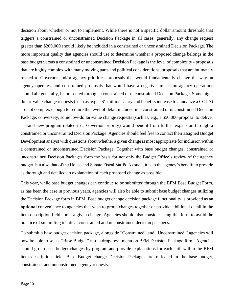decision about whether or not to implement. While there is not a specific dollar amount threshold that triggers a constrained or unconstrained Decision Package in all cases, generally, any change request greater than \$200,000 should likely be included in a constrained or unconstrained Decision Package. The more important quality that agencies should use to determine whether a proposed change belongs in the base budget versus a constrained or unconstrained Decision Package is the level of complexity - proposals that are highly complex with many moving parts and political considerations, proposals that are intimately related to Governor and/or agency priorities, proposals that would fundamentally change the way an agency operates, and constrained proposals that would have a negative impact on agency operations should all, generally, be presented through a constrained or unconstrained Decision Package. Some highdollar-value change requests (such as, e.g. a \$1 million salary and benefits increase to annualize a COLA) are not complex enough to require the level of detail included in a constrained or unconstrained Decision Package; conversely, some low-dollar-value change requests (such as, e.g., a \$50,000 proposal to deliver a brand new program related to a Governor priority) would benefit from further expansion through a constrained or unconstrained Decision Package. Agencies should feel free to contact their assigned Budget Development analyst with questions about whether a given change is most appropriate for inclusion within a constrained or unconstrained Decision Package. Together with base budget changes, constrained or unconstrained Decision Packages form the basis for not only the Budget Office's review of the agency budget, but also that of the House and Senate Fiscal Staffs. As such, it is to the agency's benefit to provide as thorough and detailed an explanation of each proposed change as possible.

This year, while base budget changes can continue to be submitted through the BFM Base Budget Form, as has been the case in previous years, agencies will also be able to submit base budget changes utilizing the Decision Package form in BFM. Base budget change decision package functionality is provided as an **optional** convenience to agencies that wish to group changes together or provide additional detail in the item description field about a given change. Agencies should also consider using this form to avoid the practice of submitting identical constrained and unconstrained decision packages.

To submit a base budget decision package, alongside "Constrained" and "Unconstrained," agencies will now be able to select "Base Budget" in the dropdown menu on BFM Decision Package form. Agencies should group base budget changes by program and provide explanations for each shift within the BFM item description field. Base Budget change Decision Packages are reflected in the base budget, constrained, and unconstrained agency requests.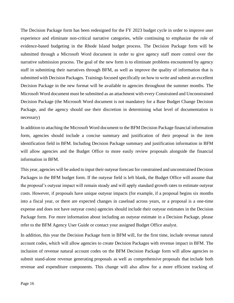The Decision Package form has been redesigned for the FY 2023 budget cycle in order to improve user experience and eliminate non-critical narrative categories, while continuing to emphasize the role of evidence-based budgeting in the Rhode Island budget process. The Decision Package form will be submitted through a Microsoft Word document in order to give agency staff more control over the narrative submission process. The goal of the new form is to eliminate problems encountered by agency staff in submitting their narratives through BFM, as well as improve the quality of information that is submitted with Decision Packages. Trainings focused specifically on how to write and submit an excellent Decision Package in the new format will be available to agencies throughout the summer months. The Microsoft Word document must be submitted as an attachment with every Constrained and Unconstrained Decision Package (the Microsoft Word document is not mandatory for a Base Budget Change Decision Package, and the agency should use their discretion in determining what level of documentation is necessary)

In addition to attaching the Microsoft Word document to the BFM Decision Package financial information form, agencies should include a concise summary and justification of their proposal in the item identification field in BFM. Including Decision Package summary and justification information in BFM will allow agencies and the Budget Office to more easily review proposals alongside the financial information in BFM.

This year, agencies will be asked to input their outyear forecast for constrained and unconstrained Decision Packages in the BFM budget form. If the outyear field is left blank, the Budget Office will assume that the proposal's outyear impact will remain steady and will apply standard growth rates to estimate outyear costs. However, if proposals have unique outyear impacts (for example, if a proposal begins six months into a fiscal year, or there are expected changes in caseload across years, or a proposal is a one-time expense and does not have outyear costs) agencies should include their outyear estimates in the Decision Package form. For more information about including an outyear estimate in a Decision Package, please refer to the BFM Agency User Guide or contact your assigned Budget Office analyst.

In addition, this year the Decision Package form in BFM will, for the first time, include revenue natural account codes, which will allow agencies to create Decision Packages with revenue impact in BFM. The inclusion of revenue natural account codes on the BFM Decision Package form will allow agencies to submit stand-alone revenue generating proposals as well as comprehensive proposals that include both revenue and expenditure components. This change will also allow for a more efficient tracking of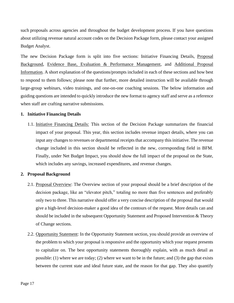such proposals across agencies and throughout the budget development process. If you have questions about utilizing revenue natural account codes on the Decision Package form, please contact your assigned Budget Analyst.

The new Decision Package form is split into five sections: Initiative Financing Details, Proposal Background, Evidence Base, Evaluation & Performance Management, and Additional Proposal Information. A short explanation of the questions/prompts included in each of these sections and how best to respond to them follows; please note that further, more detailed instruction will be available through large-group webinars, video trainings, and one-on-one coaching sessions. The below information and guiding questions are intended to quickly introduce the new format to agency staff and serve as a reference when staff are crafting narrative submissions.

#### **1. Initiative Financing Details**

1.1. Initiative Financing Details: This section of the Decision Package summarizes the financial impact of your proposal. This year, this section includes revenue impact details, where you can input any changes to revenues or departmental receipts that accompany this initiative. The revenue change included in this section should be reflected in the new, corresponding field in BFM. Finally, under Net Budget Impact, you should show the full impact of the proposal on the State, which includes any savings, increased expenditures, and revenue changes.

#### **2. Proposal Background**

- 2.1. Proposal Overview: The Overview section of your proposal should be a brief description of the decision package, like an "elevator pitch," totaling no more than five sentences and preferably only two to three. This narrative should offer a very concise description of the proposal that would give a high-level decision-maker a good idea of the contours of the request. More details can and should be included in the subsequent Opportunity Statement and Proposed Intervention  $\&$  Theory of Change sections.
- 2.2. Opportunity Statement: In the Opportunity Statement section, you should provide an overview of the problem to which your proposal is responsive and the opportunity which your request presents to capitalize on. The best opportunity statements thoroughly explain, with as much detail as possible: (1) where we are today; (2) where we want to be in the future; and (3) the gap that exists between the current state and ideal future state, and the reason for that gap. They also quantify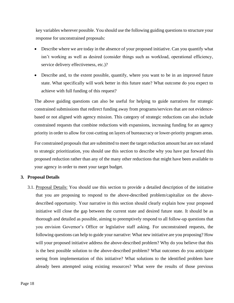key variables wherever possible. You should use the following guiding questions to structure your response for unconstrained proposals:

- Describe where we are today in the absence of your proposed initiative. Can you quantify what isn't working as well as desired (consider things such as workload, operational efficiency, service delivery effectiveness, etc.)?
- Describe and, to the extent possible, quantify, where you want to be in an improved future state. What specifically will work better in this future state? What outcome do you expect to achieve with full funding of this request?

The above guiding questions can also be useful for helping to guide narratives for strategic constrained submissions that redirect funding away from programs/services that are not evidencebased or not aligned with agency mission. This category of strategic reductions can also include constrained requests that combine reductions with expansions, increasing funding for an agency priority in order to allow for cost-cutting on layers of bureaucracy or lower-priority program areas.

For constrained proposals that are submitted to meet the target reduction amount but are not related to strategic prioritization, you should use this section to describe why you have put forward this proposed reduction rather than any of the many other reductions that might have been available to your agency in order to meet your target budget.

#### **3. Proposal Details**

3.1. Proposal Details: You should use this section to provide a detailed description of the initiative that you are proposing to respond to the above-described problem/capitalize on the abovedescribed opportunity. Your narrative in this section should clearly explain how your proposed initiative will close the gap between the current state and desired future state. It should be as thorough and detailed as possible, aiming to preemptively respond to all follow-up questions that you envision Governor's Office or legislative staff asking. For unconstrained requests, the following questions can help to guide your narrative: What new initiative are you proposing? How will your proposed initiative address the above-described problem? Why do you believe that this is the best possible solution to the above-described problem? What outcomes do you anticipate seeing from implementation of this initiative? What solutions to the identified problem have already been attempted using existing resources? What were the results of those previous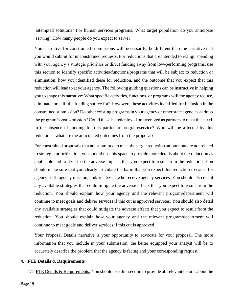attempted solutions? For human services programs: What target population do you anticipate serving? How many people do you expect to serve?

Your narrative for constrained submissions will, necessarily, be different than the narrative that you would submit for unconstrained requests. For reductions that are intended to realign spending with your agency's strategic priorities or direct funding away from low-performing programs, use this section to identify specific activities/functions/programs that will be subject to reduction or elimination, how you identified these for reduction, and the outcome that you expect that this reduction will lead to at your agency. The following guiding questions can be instructive in helping you to shape this narrative: What specific activities, functions, or programs will the agency reduce, eliminate, or shift the funding source for? How were these activities identified for inclusion in the constrained submission? Do other existing programs in your agency or other state agencies address the program's goals/mission? Could these be redeployed or leveraged as partners to meet this need, in the absence of funding for this particular program/service? Who will be affected by this reduction - what are the anticipated outcomes from the proposal?

For constrained proposals that are submitted to meet the target reduction amount but are not related to strategic prioritization, you should use this space to provide more details about the reduction as applicable and to describe the adverse impacts that you expect to result from the reduction. You should make sure that you clearly articulate the harm that you expect this reduction to cause for agency staff, agency mission, and/or citizens who receive agency services. You should also detail any available strategies that could mitigate the adverse effects that you expect to result from the reduction. You should explain how your agency and the relevant program/department will continue to meet goals and deliver services if this cut is approved services. You should also detail any available strategies that could mitigate the adverse effects that you expect to result from the reduction. You should explain how your agency and the relevant program/department will continue to meet goals and deliver services if this cut is approved

Your Proposal Details narrative is your opportunity to advocate for your proposal. The more information that you include in your submission, the better equipped your analyst will be to accurately describe the problem that the agency is facing and your corresponding request.

#### **4. FTE Details & Requirements**

4.1. FTE Details & Requirements: You should use this section to provide all relevant details about the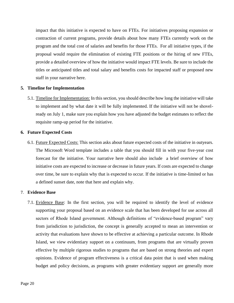impact that this initiative is expected to have on FTEs. For initiatives proposing expansion or contraction of current programs, provide details about how many FTEs currently work on the program and the total cost of salaries and benefits for those FTEs. For all initiative types, if the proposal would require the elimination of existing FTE positions or the hiring of new FTEs, provide a detailed overview of how the initiative would impact FTE levels. Be sure to include the titles or anticipated titles and total salary and benefits costs for impacted staff or proposed new staff in your narrative here.

#### **5. Timeline for Implementation**

5.1. Timeline for Implementation: In this section, you should describe how long the initiative will take to implement and by what date it will be fully implemented. If the initiative will not be shovelready on July 1, make sure you explain how you have adjusted the budget estimates to reflect the requisite ramp-up period for the initiative.

#### **6. Future Expected Costs**

6.1. Future Expected Costs: This section asks about future expected costs of the initiative in outyears. The Microsoft Word template includes a table that you should fill in with your five-year cost forecast for the initiative. Your narrative here should also include a brief overview of how initiative costs are expected to increase or decrease in future years. If costs are expected to change over time, be sure to explain why that is expected to occur. If the initiative is time-limited or has a defined sunset date, note that here and explain why.

#### 7. **Evidence Base**

7.1. Evidence Base: In the first section, you will be required to identify the level of evidence supporting your proposal based on an evidence scale that has been developed for use across all sectors of Rhode Island government. Although definitions of "evidence-based program" vary from jurisdiction to jurisdiction, the concept is generally accepted to mean an intervention or activity that evaluations have shown to be effective at achieving a particular outcome. In Rhode Island, we view evidentiary support on a continuum, from programs that are virtually proven effective by multiple rigorous studies to programs that are based on strong theories and expert opinions. Evidence of program effectiveness is a critical data point that is used when making budget and policy decisions, as programs with greater evidentiary support are generally more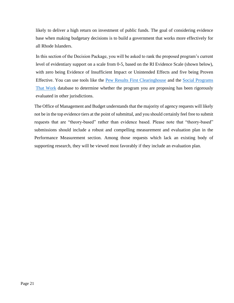likely to deliver a high return on investment of public funds. The goal of considering evidence base when making budgetary decisions is to build a government that works more effectively for all Rhode Islanders.

In this section of the Decision Package, you will be asked to rank the proposed program's current level of evidentiary support on a scale from 0-5, based on the RI Evidence Scale (shown below), with zero being Evidence of Insufficient Impact or Unintended Effects and five being Proven Effective. You can use tools like the [Pew Results First Clearinghouse](https://www.pewtrusts.org/en/research-and-analysis/data-visualizations/2015/results-first-clearinghouse-database) and the [Social Programs](https://evidencebasedprograms.org/)  [That Work](https://evidencebasedprograms.org/) database to determine whether the program you are proposing has been rigorously evaluated in other jurisdictions.

The Office of Management and Budget understands that the majority of agency requests will likely not be in the top evidence tiers at the point of submittal, and you should certainly feel free to submit requests that are "theory-based" rather than evidence based. Please note that "theory-based" submissions should include a robust and compelling measurement and evaluation plan in the Performance Measurement section. Among those requests which lack an existing body of supporting research, they will be viewed most favorably if they include an evaluation plan.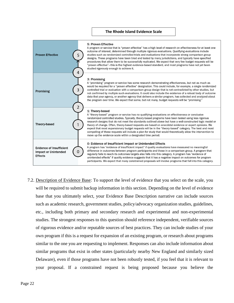#### **The Rhode Island Evidence Scale**



7.2. Description of Evidence Base: To support the level of evidence that you select on the scale, you will be required to submit backup information in this section. Depending on the level of evidence base that you ultimately select, your Evidence Base Description narrative can include sources such as academic research, government studies, policy/advocacy organization studies, guidelines, etc., including both primary and secondary research and experimental and non-experimental studies. The strongest responses to this question should reference independent, verifiable sources of rigorous evidence and/or reputable sources of best practices. They can include studies of your own program if this is a request for expansion of an existing program, or research about programs similar to the one you are requesting to implement. Responses can also include information about similar programs that exist in other states (particularly nearby New England and similarly sized Delaware), even if those programs have not been robustly tested, if you feel that it is relevant to your proposal. If a constrained request is being proposed because you believe the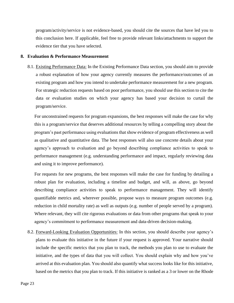program/activity/service is not evidence-based, you should cite the sources that have led you to this conclusion here. If applicable, feel free to provide relevant links/attachments to support the evidence tier that you have selected.

#### **8. Evaluation & Performance Measurement**

8.1. Existing Performance Data: In the Existing Performance Data section, you should aim to provide a robust explanation of how your agency currently measures the performance/outcomes of an existing program and how you intend to undertake performance measurement for a new program. For strategic reduction requests based on poor performance, you should use this section to cite the data or evaluation studies on which your agency has based your decision to curtail the program/service.

For unconstrained requests for program expansions, the best responses will make the case for why this is a program/service that deserves additional resources by telling a compelling story about the program's past performance using evaluations that show evidence of program effectiveness as well as qualitative and quantitative data. The best responses will also use concrete details about your agency's approach to evaluation and go beyond describing compliance activities to speak to performance management (e.g. understanding performance and impact, regularly reviewing data and using it to improve performance).

For requests for new programs, the best responses will make the case for funding by detailing a robust plan for evaluation, including a timeline and budget, and will, as above, go beyond describing compliance activities to speak to performance management. They will identify quantifiable metrics and, wherever possible, propose ways to measure program outcomes (e.g. reduction in child mortality rate) as well as outputs (e.g. number of people served by a program). Where relevant, they will cite rigorous evaluations or data from other programs that speak to your agency's commitment to performance measurement and data-driven decision-making.

8.2. Forward-Looking Evaluation Opportunities: In this section, you should describe your agency's plans to evaluate this initiative in the future if your request is approved. Your narrative should include the specific metrics that you plan to track, the methods you plan to use to evaluate the initiative, and the types of data that you will collect. You should explain why and how you've arrived at this evaluation plan. You should also quantify what success looks like for this initiative, based on the metrics that you plan to track. If this initiative is ranked as a 3 or lower on the Rhode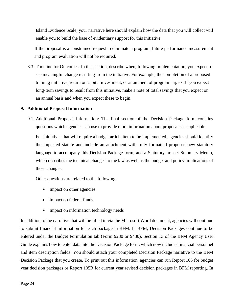Island Evidence Scale, your narrative here should explain how the data that you will collect will enable you to build the base of evidentiary support for this initiative.

If the proposal is a constrained request to eliminate a program, future performance measurement and program evaluation will not be required.

8.3. Timeline for Outcomes: In this section, describe when, following implementation, you expect to see meaningful change resulting from the initiative. For example, the completion of a proposed training initiative, return on capital investment, or attainment of program targets. If you expect long-term savings to result from this initiative, make a note of total savings that you expect on an annual basis and when you expect these to begin.

#### **9. Additional Proposal Information**

9.1. Additional Proposal Information: The final section of the Decision Package form contains questions which agencies can use to provide more information about proposals as applicable.

For initiatives that will require a budget article item to be implemented, agencies should identify the impacted statute and include an attachment with fully formatted proposed new statutory language to accompany this Decision Package form, and a Statutory Impact Summary Memo, which describes the technical changes to the law as well as the budget and policy implications of those changes.

Other questions are related to the following:

- Impact on other agencies
- Impact on federal funds
- Impact on information technology needs

In addition to the narrative that will be filled in via the Microsoft Word document, agencies will continue to submit financial information for each package in BFM. In BFM, Decision Packages continue to be entered under the Budget Formulation tab (Form 9230 or 9430). Section 13 of the BFM Agency User Guide explains how to enter data into the Decision Package form, which now includes financial personnel and item description fields. You should attach your completed Decision Package narrative to the BFM Decision Package that you create. To print out this information, agencies can run Report 105 for budget year decision packages or Report 105R for current year revised decision packages in BFM reporting. In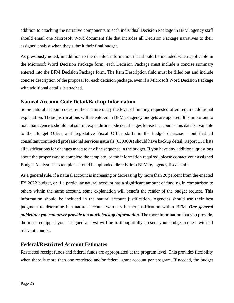addition to attaching the narrative components to each individual Decision Package in BFM, agency staff should email one Microsoft Word document file that includes all Decision Package narratives to their assigned analyst when they submit their final budget.

As previously noted, in addition to the detailed information that should be included when applicable in the Microsoft Word Decision Package form, each Decision Package must include a concise summary entered into the BFM Decision Package form. The Item Description field must be filled out and include concise description of the proposal for each decision package, even if a Microsoft Word Decision Package with additional details is attached.

#### <span id="page-24-0"></span>**Natural Account Code Detail/Backup Information**

Some natural account codes by their nature or by the level of funding requested often require additional explanation. These justifications will be entered in BFM as agency budgets are updated. It is important to note that agencies should not submit expenditure code detail pages for each account - this data is available to the Budget Office and Legislative Fiscal Office staffs in the budget database – but that all consultant/contracted professional services naturals (630000s) should have backup detail. Report 151 lists all justifications for changes made to any line sequence in the budget. If you have any additional questions about the proper way to complete the template, or the information required, please contact your assigned Budget Analyst. This template should be uploaded directly into BFM by agency fiscal staff.

As a general rule, if a natural account is increasing or decreasing by more than 20 percent from the enacted FY 2022 budget, or if a particular natural account has a significant amount of funding in comparison to others within the same account, some explanation will benefit the reader of the budget request. This information should be included in the natural account justification. Agencies should use their best judgment to determine if a natural account warrants further justification within BFM. *One general guideline: you can never provide too much backup information.* The more information that you provide, the more equipped your assigned analyst will be to thoughtfully present your budget request with all relevant context.

#### <span id="page-24-1"></span>**Federal/Restricted Account Estimates**

Restricted receipt funds and federal funds are appropriated at the program level. This provides flexibility when there is more than one restricted and/or federal grant account per program. If needed, the budget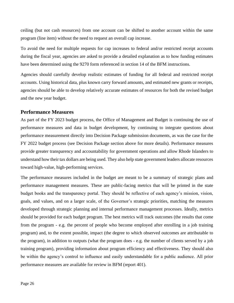ceiling (but not cash resources) from one account can be shifted to another account within the same program (line item) without the need to request an overall cap increase.

To avoid the need for multiple requests for cap increases to federal and/or restricted receipt accounts during the fiscal year, agencies are asked to provide a detailed explanation as to how funding estimates have been determined using the 9270 form referenced in section 14 of the BFM instructions.

Agencies should carefully develop realistic estimates of funding for all federal and restricted receipt accounts. Using historical data, plus known carry forward amounts, and estimated new grants or receipts, agencies should be able to develop relatively accurate estimates of resources for both the revised budget and the new year budget.

#### <span id="page-25-0"></span>**Performance Measures**

As part of the FY 2023 budget process, the Office of Management and Budget is continuing the use of performance measures and data in budget development, by continuing to integrate questions about performance measurement directly into Decision Package submission documents, as was the case for the FY 2022 budget process (see Decision Package section above for more details). Performance measures provide greater transparency and accountability for government operations and allow Rhode Islanders to understand how their tax dollars are being used. They also help state government leaders allocate resources toward high-value, high-performing services.

The performance measures included in the budget are meant to be a summary of strategic plans and performance management measures. These are public-facing metrics that will be printed in the state budget books and the transparency portal. They should be reflective of each agency's mission, vision, goals, and values, and on a larger scale, of the Governor's strategic priorities, matching the measures developed through strategic planning and internal performance management processes. Ideally, metrics should be provided for each budget program. The best metrics will track outcomes (the results that come from the program - e.g. the percent of people who become employed after enrolling in a job training program) and, to the extent possible, impact (the degree to which observed outcomes are attributable to the program), in addition to outputs (what the program does - e.g. the number of clients served by a job training program), providing information about program efficiency and effectiveness. They should also be within the agency's control to influence and easily understandable for a public audience. All prior performance measures are available for review in BFM (report 401).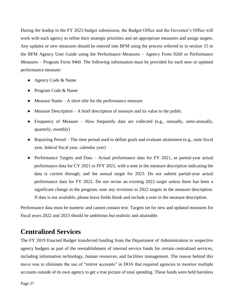During the leadup to the FY 2023 budget submission, the Budget Office and the Governor's Office will work with each agency to refine their strategic priorities and set appropriate measures and assign targets. Any updates or new measures should be entered into BFM using the process referred to in section 15 in the BFM Agency User Guide using the Performance Measures – Agency Form 9260 or Performance Measures – Program Form 9460. The following information must be provided for each new or updated performance measure:

- Agency Code & Name
- Program Code & Name
- Measure Name A short title for the performance measure
- $\bullet$  Measure Description A brief description of measure and its value to the public
- Frequency of Measure How frequently data are collected (e.g., annually, semi-annually, quarterly, monthly)
- Reporting Period The time period used to define goals and evaluate attainment (e.g., state fiscal year, federal fiscal year, calendar year)
- Performance Targets and Data Actual performance data for FY 2021, or partial-year actual performance data for CY 2021 or FFY 2021, with a note in the measure description indicating the data is current through; and the annual target for 2023. Do not submit partial-year actual performance data for FY 2022. Do not revise an existing 2022 target unless there has been a significant change in the program; note any revisions to 2022 targets in the measure description. If data is not available, please leave fields blank and include a note in the measure description.

Performance data must be numeric and cannot contain text. Targets set for new and updated measures for fiscal years 2022 and 2023 should be ambitious but realistic and attainable.

## <span id="page-26-0"></span>**Centralized Services**

The FY 2019 Enacted Budget transferred funding from the Department of Administration to respective agency budgets as part of the reestablishment of internal service funds for certain centralized services, including information technology, human resources, and facilities management. The reason behind this move was to eliminate the use of "mirror accounts" in DOA that required agencies to monitor multiple accounts outside of its own agency to get a true picture of total spending. These funds were held harmless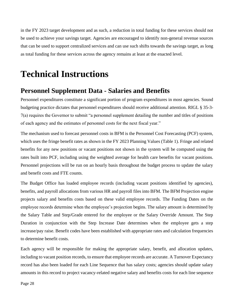in the FY 2023 target development and as such, a reduction in total funding for these services should not be used to achieve your savings target. Agencies are encouraged to identify non-general revenue sources that can be used to support centralized services and can use such shifts towards the savings target, as long as total funding for these services across the agency remains at least at the enacted level.

# <span id="page-27-0"></span>**Technical Instructions**

### <span id="page-27-1"></span>**Personnel Supplement Data - Salaries and Benefits**

Personnel expenditures constitute a significant portion of program expenditures in most agencies. Sound budgeting practice dictates that personnel expenditures should receive additional attention. RIGL § 35-3- 7(a) requires the Governor to submit "a personnel supplement detailing the number and titles of positions of each agency and the estimates of personnel costs for the next fiscal year."

The mechanism used to forecast personnel costs in BFM is the Personnel Cost Forecasting (PCF) system, which uses the fringe benefit rates as shown in the FY 2023 Planning Values (Table 1). Fringe and related benefits for any new positions or vacant positions not shown in the system will be computed using the rates built into PCF, including using the weighted average for health care benefits for vacant positions. Personnel projections will be run on an hourly basis throughout the budget process to update the salary and benefit costs and FTE counts.

The Budget Office has loaded employee records (including vacant positions identified by agencies), benefits, and payroll allocations from various HR and payroll files into BFM. The BFM Projection engine projects salary and benefits costs based on these valid employee records. The Funding Dates on the employee records determine when the employee's projection begins. The salary amount is determined by the Salary Table and Step/Grade entered for the employee or the Salary Override Amount. The Step Duration in conjunction with the Step Increase Date determines when the employee gets a step increase/pay raise. Benefit codes have been established with appropriate rates and calculation frequencies to determine benefit costs.

Each agency will be responsible for making the appropriate salary, benefit, and allocation updates, including to vacant position records, to ensure that employee records are accurate. A Turnover Expectancy record has also been loaded for each Line Sequence that has salary costs; agencies should update salary amounts in this record to project vacancy-related negative salary and benefits costs for each line sequence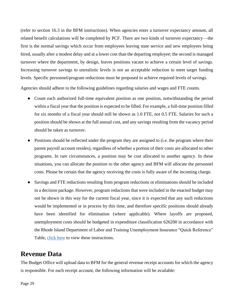(refer to section 16.3 in the BFM instructions). When agencies enter a turnover expectancy amount, all related benefit calculations will be completed by PCF. There are two kinds of turnover expectancy—the first is the normal savings which occur from employees leaving state service and new employees being hired, usually after a modest delay and at a lower cost than the departing employee; the second is managed turnover where the department, by design, leaves positions vacant to achieve a certain level of savings. Increasing turnover savings to unrealistic levels is not an acceptable reduction to meet target funding levels. Specific personnel/program reductions must be proposed to achieve required levels of savings.

Agencies should adhere to the following guidelines regarding salaries and wages and FTE counts.

- Count each authorized full-time equivalent position as one position, notwithstanding the period within a fiscal year that the position is expected to be filled. For example, a full-time position filled for six months of a fiscal year should still be shown as 1.0 FTE, not 0.5 FTE. Salaries for such a position should be shown at the full annual cost, and any savings resulting from the vacancy period should be taken as turnover.
- Positions should be reflected under the program they are assigned to (i.e. the program where their parent payroll account resides), regardless of whether a portion of their costs are allocated to other programs. In rare circumstances, a position may be cost allocated to another agency. In these situations, you can allocate the position to the other agency and BFM will allocate the personnel costs. Please be certain that the agency receiving the costs is fully aware of the incoming charge.
- Savings and FTE reductions resulting from program reductions or eliminations should be included in a decision package. However, program reductions that were included in the enacted budget may not be shown in this way for the current fiscal year, since it is expected that any such reductions would be implemented or in process by this time, and therefore specific positions should already have been identified for elimination (where applicable). Where layoffs are proposed, unemployment costs should be budgeted in expenditure classification 626200 in accordance with the Rhode Island Department of Labor and Training Unemployment Insurance "Quick Reference" Table, [click here](https://dlt.ri.gov/documents/pdf/quickref.pdf) to view these instructions.

### <span id="page-28-0"></span>**Revenue Data**

The Budget Office will upload data to BFM for the general revenue receipt accounts for which the agency is responsible. For each receipt account, the following information will be available: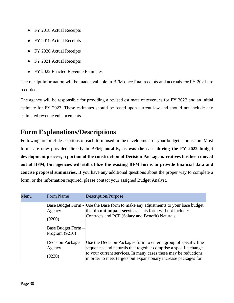- FY 2018 Actual Receipts
- FY 2019 Actual Receipts
- FY 2020 Actual Receipts
- FY 2021 Actual Receipts
- **FY 2022 Enacted Revenue Estimates**

The receipt information will be made available in BFM once final receipts and accruals for FY 2021 are recorded.

The agency will be responsible for providing a revised estimate of revenues for FY 2022 and an initial estimate for FY 2023. These estimates should be based upon current law and should not include any estimated revenue enhancements.

# <span id="page-29-0"></span>**Form Explanations/Descriptions**

Following are brief descriptions of each form used in the development of your budget submission. Most forms are now provided directly in BFM; **notably, as was the case during the FY 2022 budget development process, a portion of the construction of Decision Package narratives has been moved out of BFM, but agencies will still utilize the existing BFM forms to provide financial data and concise proposal summaries.** If you have any additional questions about the proper way to complete a form, or the information required, please contact your assigned Budget Analyst.

| Menu | Form Name                                                  | Description/Purpose                                                                                                                                                                                                                                                       |
|------|------------------------------------------------------------|---------------------------------------------------------------------------------------------------------------------------------------------------------------------------------------------------------------------------------------------------------------------------|
|      | Agency<br>(9200)<br>Base Budget Form -<br>Program $(9210)$ | Base Budget Form - Use the Base form to make any adjustments to your base budget<br>that <b>do not impact services</b> . This form will not include:<br>Contracts and PCF (Salary and Benefit) Naturals.                                                                  |
|      | <b>Decision Package</b><br>Agency<br>(9230)                | Use the Decision Packages form to enter a group of specific line<br>sequences and naturals that together comprise a specific change<br>to your current services. In many cases these may be reductions<br>in order to meet targets but expansionary increase packages for |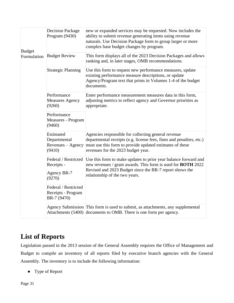| <b>Budget</b><br>Formulation | <b>Decision Package</b><br>Program (9430)                 | new or expanded services may be requested. Now includes the<br>ability to submit revenue generating items using revenue<br>naturals. Use Decision Package form to group larger or more<br>complex base budget changes by program.                        |  |
|------------------------------|-----------------------------------------------------------|----------------------------------------------------------------------------------------------------------------------------------------------------------------------------------------------------------------------------------------------------------|--|
|                              | <b>Budget Review</b>                                      | This form displays all of the 2023 Decision Packages and allows<br>ranking and, in later stages, OMB recommendations.                                                                                                                                    |  |
|                              | <b>Strategic Planning</b>                                 | Use this form to request new performance measures, update<br>existing performance measure descriptions, or update<br>Agency/Program text that prints in Volumes 1-4 of the budget<br>documents.                                                          |  |
|                              | Performance<br><b>Measures Agency</b><br>(9260)           | Enter performance measurement measures data in this form,<br>adjusting metrics to reflect agency and Governor priorities as<br>appropriate.                                                                                                              |  |
|                              | Performance<br>Measures - Program<br>(9460)               |                                                                                                                                                                                                                                                          |  |
|                              | Estimated<br>Departmental<br>Revenues – Agency<br>(9410)  | Agencies responsible for collecting general revenue<br>departmental receipts (e.g. license fees, fines and penalties, etc.)<br>must use this form to provide updated estimates of these<br>revenues for the 2023 budget year.                            |  |
|                              | Receipts -<br>Agency BR-7<br>(9270)                       | Federal / Restricted Use this form to make updates to prior year balance forward and<br>new revenues / grant awards. This form is used for <b>BOTH</b> 2022<br>Revised and 2023 Budget since the BR-7 report shows the<br>relationship of the two years. |  |
|                              | Federal / Restricted<br>Receipts - Program<br>BR-7 (9470) |                                                                                                                                                                                                                                                          |  |
|                              |                                                           | Agency Submission This form is used to submit, as attachments, any supplemental<br>Attachments (5400) documents to OMB. There is one form per agency.                                                                                                    |  |

# <span id="page-30-0"></span>**List of Reports**

Legislation passed in the 2013 session of the General Assembly requires the Office of Management and Budget to compile an inventory of all reports filed by executive branch agencies with the General Assembly. The inventory is to include the following information:

● Type of Report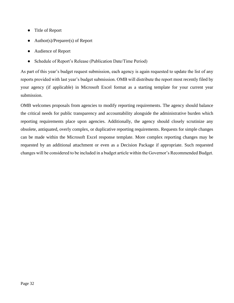- Title of Report
- Author(s)/Preparer(s) of Report
- Audience of Report
- Schedule of Report's Release (Publication Date/Time Period)

As part of this year's budget request submission, each agency is again requested to update the list of any reports provided with last year's budget submission. OMB will distribute the report most recently filed by your agency (if applicable) in Microsoft Excel format as a starting template for your current year submission.

OMB welcomes proposals from agencies to modify reporting requirements. The agency should balance the critical needs for public transparency and accountability alongside the administrative burden which reporting requirements place upon agencies. Additionally, the agency should closely scrutinize any obsolete, antiquated, overly complex, or duplicative reporting requirements. Requests for simple changes can be made within the Microsoft Excel response template. More complex reporting changes may be requested by an additional attachment or even as a Decision Package if appropriate. Such requested changes will be considered to be included in a budget article within the Governor's Recommended Budget.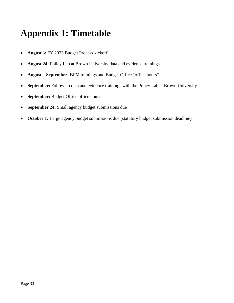# <span id="page-32-0"></span>**Appendix 1: Timetable**

- **August 5:** FY 2023 Budget Process kickoff
- **August 24:** Policy Lab at Brown University data and evidence trainings
- **August – September:** BFM trainings and Budget Office "office hours"
- **September:** Follow up data and evidence trainings with the Policy Lab at Brown University
- **September:** Budget Office office hours
- **September 24:** Small agency budget submissions due
- **October 1:** Large agency budget submissions due (statutory budget submission deadline)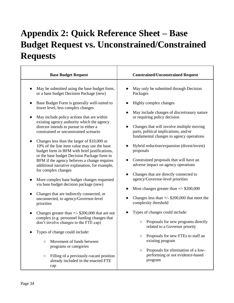# <span id="page-33-0"></span>**Appendix 2: Quick Reference Sheet – Base Budget Request vs. Unconstrained/Constrained Requests**

| <b>Base Budget Request</b>                                                                                                                                                                                                                                                                                                                                                                                                                                                                                                                                                                                                                                                                                                                                                                                                                                                                                                                                                                                                                                                                                                                                                                                                       | <b>Constrained/Unconstrained Request</b>                                                                                                                                                                                                                                                                                                                                                                                                                                                                                                                                                                                                                                                                                                                                                                                                                                                                                      |
|----------------------------------------------------------------------------------------------------------------------------------------------------------------------------------------------------------------------------------------------------------------------------------------------------------------------------------------------------------------------------------------------------------------------------------------------------------------------------------------------------------------------------------------------------------------------------------------------------------------------------------------------------------------------------------------------------------------------------------------------------------------------------------------------------------------------------------------------------------------------------------------------------------------------------------------------------------------------------------------------------------------------------------------------------------------------------------------------------------------------------------------------------------------------------------------------------------------------------------|-------------------------------------------------------------------------------------------------------------------------------------------------------------------------------------------------------------------------------------------------------------------------------------------------------------------------------------------------------------------------------------------------------------------------------------------------------------------------------------------------------------------------------------------------------------------------------------------------------------------------------------------------------------------------------------------------------------------------------------------------------------------------------------------------------------------------------------------------------------------------------------------------------------------------------|
| May be submitted using the base budget form,<br>or a base budget Decision Package (new)<br>Base Budget Form is generally well-suited to<br>lower level, less complex changes<br>May include policy actions that are within<br>existing agency authority which the agency<br>director intends to pursue in either a<br>constrained or unconstrained scenario<br>Changes less than the larger of \$10,000 or<br>10% of the line item value may use the base<br>budget form in BFM with brief justifications,<br>or the base budget Decision Package form in<br>BFM if the agency believes a change requires<br>additional narrative explanation, for example,<br>for complex changes<br>More complex base budget changes requested<br>via base budget decision package (new)<br>Changes that are indirectly connected, or<br>unconnected, to agency/Governor-level<br>priorities<br>Changes greater than $+/-$ \$200,000 that are not<br>complex (e.g. personnel funding changes that<br>don't involve changes to the FTE cap)<br>Types of change could include:<br>Movement of funds between<br>$\circ$<br>programs or categories<br>Filling of a previously-vacant position<br>$\bigcirc$<br>already included in the enacted FTE | May only be submitted through Decision<br>Packages<br>Highly complex changes<br>May include changes of discretionary nature<br>or requiring policy decision<br>Changes that will involve multiple moving<br>parts, political implications, and/or<br>fundamental changes to agency operations<br>Hybrid reduction/expansion (divest/invest)<br>proposals<br>Constrained proposals that will have an<br>adverse impact on agency operations<br>Changes that are directly connected to<br>agency/Governor-level priorities<br>Most changes greater than $+/-$ \$200,000<br>Changes less than $+/-$ \$200,000 that meet the<br>complexity threshold<br>Types of changes could include:<br>Proposals for new programs directly<br>$\bigcirc$<br>related to a Governor priority<br>Proposals for new FTEs to staff an<br>existing program<br>Proposals for elimination of a low-<br>$\bigcirc$<br>performing or not evidence-based |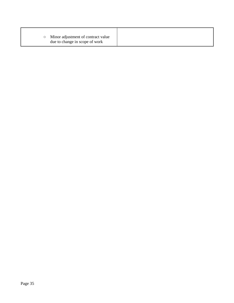|--|

Т

٦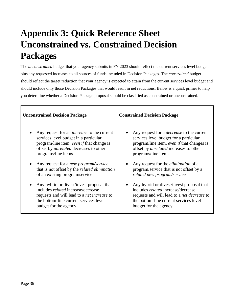# <span id="page-35-0"></span>**Appendix 3: Quick Reference Sheet – Unconstrained vs. Constrained Decision Packages**

The *unconstrained* budget that your agency submits in FY 2023 should reflect the current services level budget, plus any requested increases to all sources of funds included in Decision Packages. The *constrained* budget should reflect the target reduction that your agency is expected to attain from the current services level budget and should include only those Decision Packages that would result in net reductions. Below is a quick primer to help you determine whether a Decision Package proposal should be classified as constrained or unconstrained.

| <b>Unconstrained Decision Package</b>                | <b>Constrained Decision Package</b>                |  |
|------------------------------------------------------|----------------------------------------------------|--|
| Any request for an <i>increase</i> to the current    | Any request for a <i>decrease</i> to the current   |  |
| services level budget in a particular                | services level budget for a particular             |  |
| program/line item, even if that change is            | program/line item, even if that changes is         |  |
| offset by <i>unrelated</i> decreases to other        | offset by <i>unrelated</i> increases to other      |  |
| programs/line items                                  | programs/line items                                |  |
| Any request for a new program/service                | Any request for the <i>elimination</i> of a        |  |
| that is not offset by the <i>related elimination</i> | program/service that is not offset by a            |  |
| of an existing program/service                       | related new program/service                        |  |
| Any hybrid or divest/invest proposal that            | Any hybrid or divest/invest proposal that          |  |
| includes <i>related</i> increase/decrease            | includes <i>related</i> increase/decrease          |  |
| requests and will lead to a <i>net increase</i> to   | requests and will lead to a <i>net decrease</i> to |  |
| the bottom-line current services level               | the bottom-line current services level             |  |
| budget for the agency                                | budget for the agency                              |  |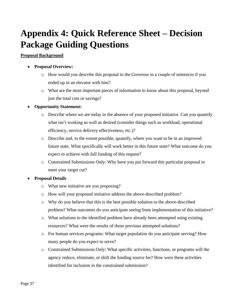# <span id="page-36-0"></span>**Appendix 4: Quick Reference Sheet – Decision Package Guiding Questions**

#### **Proposal Background**

#### • **Proposal Overview:**

- o How would you describe this proposal to the Governor in a couple of sentences if you ended up in an elevator with him?
- o What are the most important pieces of information to know about this proposal, beyond just the total cost or savings?

#### • **Opportunity Statement:**

- o Describe where we are today in the absence of your proposed initiative. Can you quantify what isn't working as well as desired (consider things such as workload, operational efficiency, service delivery effectiveness, etc.)?
- o Describe and, to the extent possible, quantify, where you want to be in an improved future state. What specifically will work better in this future state? What outcome do you expect to achieve with full funding of this request?
- o Constrained Submissions Only: Why have you put forward this particular proposal to meet your target cut?

#### • **Proposal Details**

- o What new initiative are you proposing?
- o How will your proposed initiative address the above-described problem?
- o Why do you believe that this is the best possible solution to the above-described problem? What outcomes do you anticipate seeing from implementation of this initiative?
- o What solutions to the identified problem have already been attempted using existing resources? What were the results of those previous attempted solutions?
- o For human services programs: What target population do you anticipate serving? How many people do you expect to serve?
- o Constrained Submissions Only: What specific activities, functions, or programs will the agency reduce, eliminate, or shift the funding source for? How were these activities identified for inclusion in the constrained submission?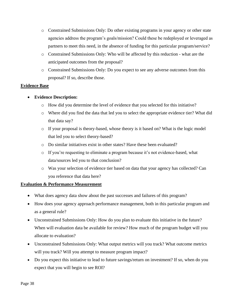- o Constrained Submissions Only: Do other existing programs in your agency or other state agencies address the program's goals/mission? Could these be redeployed or leveraged as partners to meet this need, in the absence of funding for this particular program/service?
- o Constrained Submissions Only: Who will be affected by this reduction what are the anticipated outcomes from the proposal?
- o Constrained Submissions Only: Do you expect to see any adverse outcomes from this proposal? If so, describe those.

#### **Evidence Base**

- **Evidence Description:** 
	- o How did you determine the level of evidence that you selected for this initiative?
	- o Where did you find the data that led you to select the appropriate evidence tier? What did that data say?
	- o If your proposal is theory-based, whose theory is it based on? What is the logic model that led you to select theory-based?
	- o Do similar initiatives exist in other states? Have these been evaluated?
	- o If you're requesting to eliminate a program because it's not evidence-based, what data/sources led you to that conclusion?
	- o Was your selection of evidence tier based on data that your agency has collected? Can you reference that data here?

#### **Evaluation & Performance Measurement**

- What does agency data show about the past successes and failures of this program?
- How does your agency approach performance management, both in this particular program and as a general rule?
- Unconstrained Submissions Only: How do you plan to evaluate this initiative in the future? When will evaluation data be available for review? How much of the program budget will you allocate to evaluation?
- Unconstrained Submissions Only: What output metrics will you track? What outcome metrics will you track? Will you attempt to measure program impact?
- Do you expect this initiative to lead to future savings/return on investment? If so, when do you expect that you will begin to see ROI?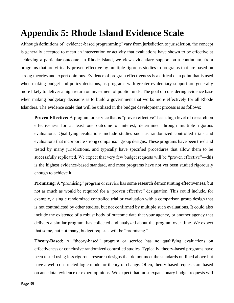# <span id="page-38-0"></span>**Appendix 5: Rhode Island Evidence Scale**

Although definitions of "evidence-based programming" vary from jurisdiction to jurisdiction, the concept is generally accepted to mean an intervention or activity that evaluations have shown to be effective at achieving a particular outcome. In Rhode Island, we view evidentiary support on a continuum, from programs that are virtually proven effective by multiple rigorous studies to programs that are based on strong theories and expert opinions. Evidence of program effectiveness is a critical data point that is used when making budget and policy decisions, as programs with greater evidentiary support are generally more likely to deliver a high return on investment of public funds. The goal of considering evidence base when making budgetary decisions is to build a government that works more effectively for all Rhode Islanders. The evidence scale that will be utilized in the budget development process is as follows:

**Proven Effective:** A program or service that is "proven effective" has a high level of research on effectiveness for at least one outcome of interest, determined through multiple rigorous evaluations. Qualifying evaluations include studies such as randomized controlled trials and evaluations that incorporate strong comparison group designs. These programs have been tried and tested by many jurisdictions, and typically have specified procedures that allow them to be successfully replicated. We expect that very few budget requests will be "proven effective"—this is the highest evidence-based standard, and most programs have not yet been studied rigorously enough to achieve it.

**Promising:** A "promising" program or service has some research demonstrating effectiveness, but not as much as would be required for a "proven effective" designation. This could include, for example, a single randomized controlled trial or evaluation with a comparison group design that is not contradicted by other studies, but not confirmed by multiple such evaluations. It could also include the existence of a robust body of outcome data that your agency, or another agency that delivers a similar program, has collected and analyzed about the program over time. We expect that some, but not many, budget requests will be "promising."

**Theory-Based**: A "theory-based" program or service has no qualifying evaluations on effectiveness or conclusive randomized controlled studies. Typically, theory-based programs have been tested using less rigorous research designs that do not meet the standards outlined above but have a well-constructed logic model or theory of change. Often, theory-based requests are based on anecdotal evidence or expert opinions. We expect that most expansionary budget requests will